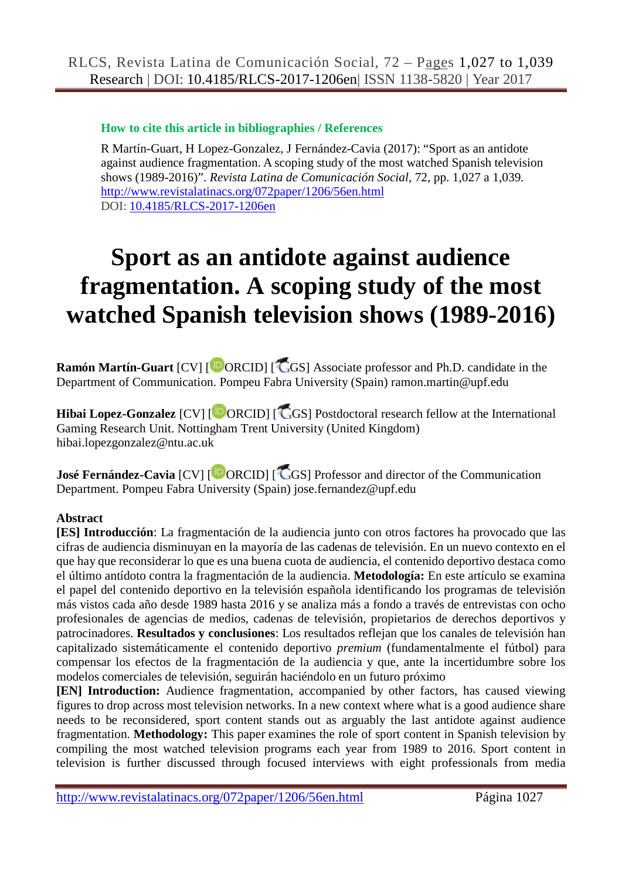### **How to cite this article in bibliographies / References**

R Martín-Guart, H Lopez-Gonzalez, J Fernández-Cavia (2017): "Sport as an antidote against audience fragmentation. A scoping study of the most watched Spanish television shows (1989-2016)". *Revista Latina de Comunicación Social*, 72, pp. 1,027 a 1,039. <http://www.revistalatinacs.org/072paper/1206/56en.html> DOI: [10.4185/RLCS-2017-1206en](http://dx.doi.org/10.4185/RLCS-2017-1206en)

# **Sport as an antidote against audience fragmentation. A scoping study of the most watched Spanish television shows (1989-2016)**

**Ramón Martín-Guart** [CV] [<sup>C</sup>ORCID] [CGS] Associate professor and Ph.D. candidate in the Department of Communication. Pompeu Fabra University (Spain) ramon.martin@upf.edu

**Hibai Lopez-Gonzalez** [CV] [<sup>1</sup> ORCID] [<sup>1</sup> GS] Postdoctoral research fellow at the International Gaming Research Unit. Nottingham Trent University (United Kingdom) hibai.lopezgonzalez@ntu.ac.uk

**José Fernández-Cavia** [CV] [<sup> $\Box$ </sup>ORCID] [ $\Box$ GS] Professor and director of the Communication Department. Pompeu Fabra University (Spain) jose.fernandez@upf.edu

#### **Abstract**

**[ES] Introducción**: La fragmentación de la audiencia junto con otros factores ha provocado que las cifras de audiencia disminuyan en la mayoría de las cadenas de televisión. En un nuevo contexto en el que hay que reconsiderar lo que es una buena cuota de audiencia, el contenido deportivo destaca como el último antídoto contra la fragmentación de la audiencia. **Metodología:** En este artículo se examina el papel del contenido deportivo en la televisión española identificando los programas de televisión más vistos cada año desde 1989 hasta 2016 y se analiza más a fondo a través de entrevistas con ocho profesionales de agencias de medios, cadenas de televisión, propietarios de derechos deportivos y patrocinadores. **Resultados y conclusiones**: Los resultados reflejan que los canales de televisión han capitalizado sistemáticamente el contenido deportivo *premium* (fundamentalmente el fútbol) para compensar los efectos de la fragmentación de la audiencia y que, ante la incertidumbre sobre los modelos comerciales de televisión, seguirán haciéndolo en un futuro próximo

**[EN] Introduction:** Audience fragmentation, accompanied by other factors, has caused viewing figures to drop across most television networks. In a new context where what is a good audience share needs to be reconsidered, sport content stands out as arguably the last antidote against audience fragmentation. **Methodology:** This paper examines the role of sport content in Spanish television by compiling the most watched television programs each year from 1989 to 2016. Sport content in television is further discussed through focused interviews with eight professionals from media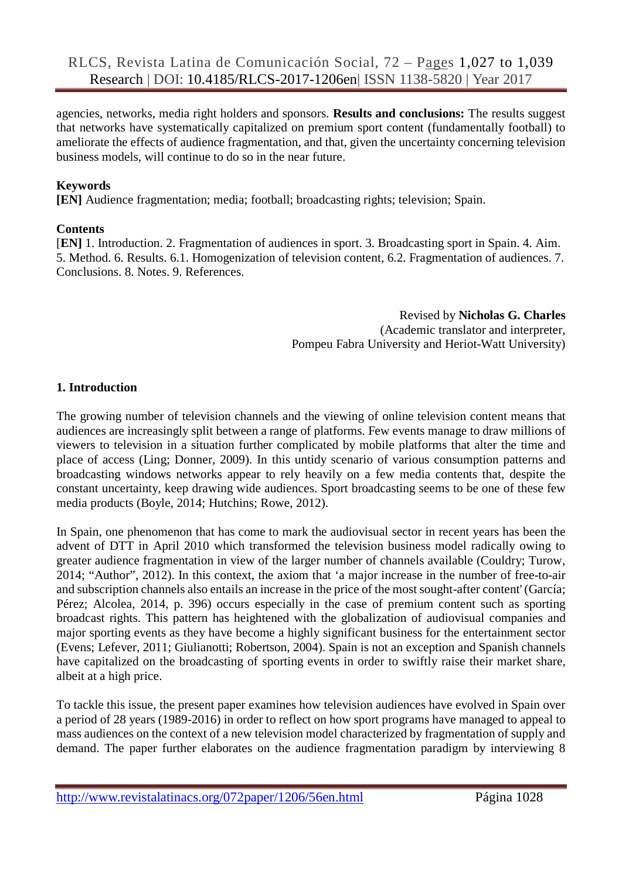agencies, networks, media right holders and sponsors. **Results and conclusions:** The results suggest that networks have systematically capitalized on premium sport content (fundamentally football) to ameliorate the effects of audience fragmentation, and that, given the uncertainty concerning television business models, will continue to do so in the near future.

#### **Keywords**

**[EN]** Audience fragmentation; media; football; broadcasting rights; television; Spain.

#### **Contents**

[**EN]** 1. Introduction. 2. Fragmentation of audiences in sport. 3. Broadcasting sport in Spain. 4. Aim. 5. Method. 6. Results. 6.1. Homogenization of television content, 6.2. Fragmentation of audiences. 7. Conclusions. 8. Notes. 9. References.

> Revised by **Nicholas G. Charles** (Academic translator and interpreter, Pompeu Fabra University and Heriot-Watt University)

#### **1. Introduction**

The growing number of television channels and the viewing of online television content means that audiences are increasingly split between a range of platforms. Few events manage to draw millions of viewers to television in a situation further complicated by mobile platforms that alter the time and place of access (Ling; Donner, 2009). In this untidy scenario of various consumption patterns and broadcasting windows networks appear to rely heavily on a few media contents that, despite the constant uncertainty, keep drawing wide audiences. Sport broadcasting seems to be one of these few media products (Boyle, 2014; Hutchins; Rowe, 2012).

In Spain, one phenomenon that has come to mark the audiovisual sector in recent years has been the advent of DTT in April 2010 which transformed the television business model radically owing to greater audience fragmentation in view of the larger number of channels available (Couldry; Turow, 2014; "Author", 2012). In this context, the axiom that 'a major increase in the number of free-to-air and subscription channels also entails an increase in the price of the most sought-after content' (García; Pérez; Alcolea, 2014, p. 396) occurs especially in the case of premium content such as sporting broadcast rights. This pattern has heightened with the globalization of audiovisual companies and major sporting events as they have become a highly significant business for the entertainment sector (Evens; Lefever, 2011; Giulianotti; Robertson, 2004). Spain is not an exception and Spanish channels have capitalized on the broadcasting of sporting events in order to swiftly raise their market share, albeit at a high price.

To tackle this issue, the present paper examines how television audiences have evolved in Spain over a period of 28 years (1989-2016) in order to reflect on how sport programs have managed to appeal to mass audiences on the context of a new television model characterized by fragmentation of supply and demand. The paper further elaborates on the audience fragmentation paradigm by interviewing 8

<http://www.revistalatinacs.org/072paper/1206/56en.html> Página 1028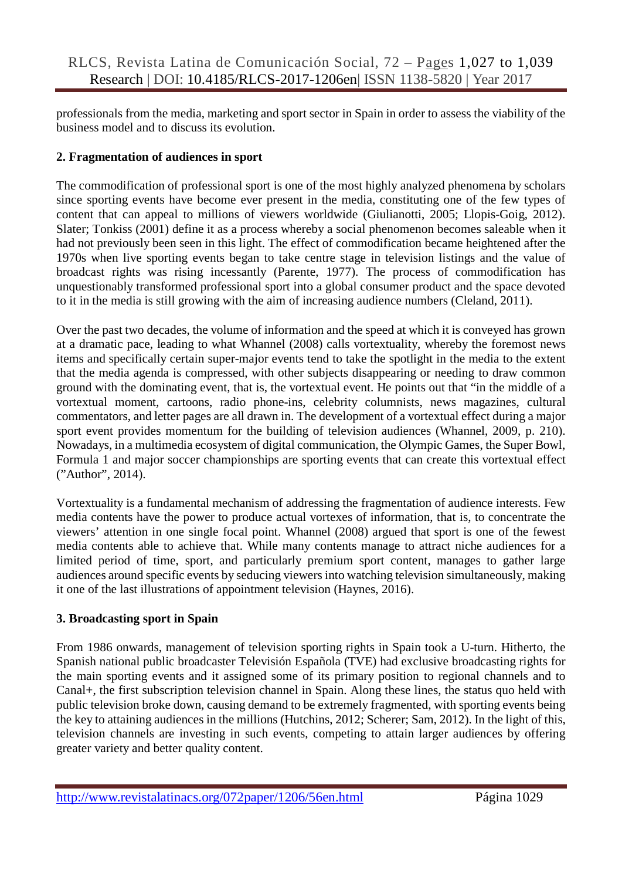professionals from the media, marketing and sport sector in Spain in order to assess the viability of the business model and to discuss its evolution.

### **2. Fragmentation of audiences in sport**

The commodification of professional sport is one of the most highly analyzed phenomena by scholars since sporting events have become ever present in the media, constituting one of the few types of content that can appeal to millions of viewers worldwide (Giulianotti, 2005; Llopis-Goig, 2012). Slater; Tonkiss (2001) define it as a process whereby a social phenomenon becomes saleable when it had not previously been seen in this light. The effect of commodification became heightened after the 1970s when live sporting events began to take centre stage in television listings and the value of broadcast rights was rising incessantly (Parente, 1977). The process of commodification has unquestionably transformed professional sport into a global consumer product and the space devoted to it in the media is still growing with the aim of increasing audience numbers (Cleland, 2011).

Over the past two decades, the volume of information and the speed at which it is conveyed has grown at a dramatic pace, leading to what Whannel (2008) calls vortextuality, whereby the foremost news items and specifically certain super-major events tend to take the spotlight in the media to the extent that the media agenda is compressed, with other subjects disappearing or needing to draw common ground with the dominating event, that is, the vortextual event. He points out that "in the middle of a vortextual moment, cartoons, radio phone-ins, celebrity columnists, news magazines, cultural commentators, and letter pages are all drawn in. The development of a vortextual effect during a major sport event provides momentum for the building of television audiences (Whannel, 2009, p. 210). Nowadays, in a multimedia ecosystem of digital communication, the Olympic Games, the Super Bowl, Formula 1 and major soccer championships are sporting events that can create this vortextual effect ("Author", 2014).

Vortextuality is a fundamental mechanism of addressing the fragmentation of audience interests. Few media contents have the power to produce actual vortexes of information, that is, to concentrate the viewers' attention in one single focal point. Whannel (2008) argued that sport is one of the fewest media contents able to achieve that. While many contents manage to attract niche audiences for a limited period of time, sport, and particularly premium sport content, manages to gather large audiences around specific events by seducing viewers into watching television simultaneously, making it one of the last illustrations of appointment television (Haynes, 2016).

# **3. Broadcasting sport in Spain**

From 1986 onwards, management of television sporting rights in Spain took a U-turn. Hitherto, the Spanish national public broadcaster Televisión Española (TVE) had exclusive broadcasting rights for the main sporting events and it assigned some of its primary position to regional channels and to Canal+, the first subscription television channel in Spain. Along these lines, the status quo held with public television broke down, causing demand to be extremely fragmented, with sporting events being the key to attaining audiences in the millions (Hutchins, 2012; Scherer; Sam, 2012). In the light of this, television channels are investing in such events, competing to attain larger audiences by offering greater variety and better quality content.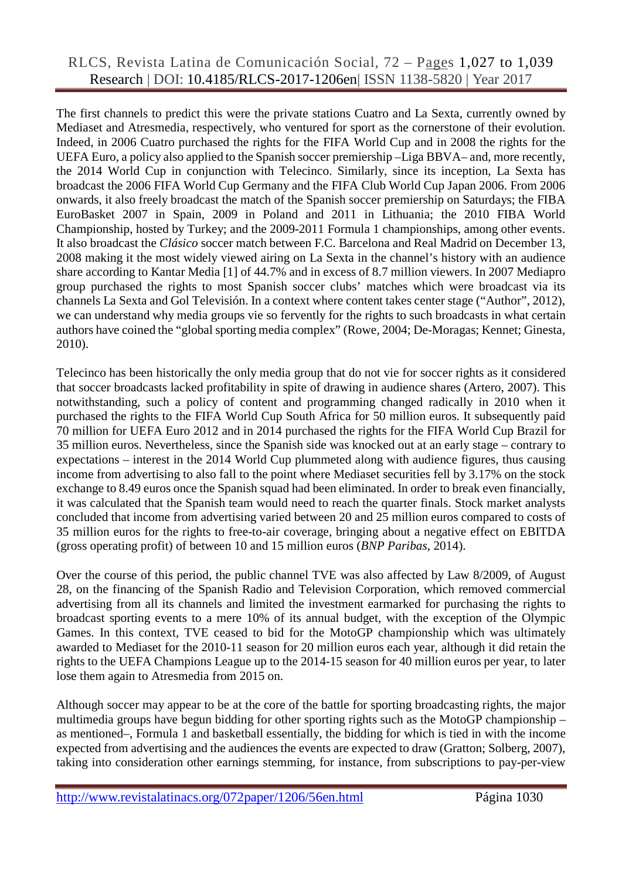## RLCS, Revista Latina de Comunicación Social, 72 – Pages 1,027 to 1,039 Research | DOI: 10.4185/RLCS-2017-1206en| ISSN 1138-5820 | Year 2017

The first channels to predict this were the private stations Cuatro and La Sexta, currently owned by Mediaset and Atresmedia, respectively, who ventured for sport as the cornerstone of their evolution. Indeed, in 2006 Cuatro purchased the rights for the FIFA World Cup and in 2008 the rights for the UEFA Euro, a policy also applied to the Spanish soccer premiership –Liga BBVA– and, more recently, the 2014 World Cup in conjunction with Telecinco. Similarly, since its inception, La Sexta has broadcast the 2006 FIFA World Cup Germany and the FIFA Club World Cup Japan 2006. From 2006 onwards, it also freely broadcast the match of the Spanish soccer premiership on Saturdays; the FIBA EuroBasket 2007 in Spain, 2009 in Poland and 2011 in Lithuania; the 2010 FIBA World Championship, hosted by Turkey; and the 2009-2011 Formula 1 championships, among other events. It also broadcast the *Clásico* soccer match between F.C. Barcelona and Real Madrid on December 13, 2008 making it the most widely viewed airing on La Sexta in the channel's history with an audience share according to Kantar Media [1] of 44.7% and in excess of 8.7 million viewers. In 2007 Mediapro group purchased the rights to most Spanish soccer clubs' matches which were broadcast via its channels La Sexta and [Gol Televisión.](http://es.wikipedia.org/wiki/Gol_Television) In a context where content takes center stage ("Author", 2012), we can understand why media groups vie so fervently for the rights to such broadcasts in what certain authors have coined the "global sporting media complex" (Rowe, 2004; De-Moragas; Kennet; Ginesta, 2010).

Telecinco has been historically the only media group that do not vie for soccer rights as it considered that soccer broadcasts lacked profitability in spite of drawing in audience shares (Artero, 2007). This notwithstanding, such a policy of content and programming changed radically in 2010 when it purchased the rights to the FIFA World Cup South Africa for 50 million euros. It subsequently paid 70 million for UEFA Euro 2012 and in 2014 purchased the rights for the FIFA World Cup Brazil for 35 million euros. Nevertheless, since the Spanish side was knocked out at an early stage – contrary to expectations – interest in the 2014 World Cup plummeted along with audience figures, thus causing income from advertising to also fall to the point where Mediaset securities fell by 3.17% on the stock exchange to 8.49 euros once the Spanish squad had been eliminated. In order to break even financially, it was calculated that the Spanish team would need to reach the quarter finals. Stock market analysts concluded that income from advertising varied between 20 and 25 million euros compared to costs of 35 million euros for the rights to free-to-air coverage, bringing about a negative effect on EBITDA (gross operating profit) of between 10 and 15 million euros (*BNP Paribas*, 2014).

Over the course of this period, the public channel TVE was also affected by Law 8/2009, of August 28, on the financing of the Spanish Radio and Television Corporation, which removed commercial advertising from all its channels and limited the investment earmarked for purchasing the rights to broadcast sporting events to a mere 10% of its annual budget, with the exception of the Olympic Games. In this context, TVE ceased to bid for the MotoGP championship which was ultimately awarded to Mediaset for the 2010-11 season for 20 million euros each year, although it did retain the rights to the UEFA Champions League up to the 2014-15 season for 40 million euros per year, to later lose them again to Atresmedia from 2015 on.

Although soccer may appear to be at the core of the battle for sporting broadcasting rights, the major multimedia groups have begun bidding for other sporting rights such as the MotoGP championship – as mentioned–, Formula 1 and basketball essentially, the bidding for which is tied in with the income expected from advertising and the audiences the events are expected to draw (Gratton; Solberg, 2007), taking into consideration other earnings stemming, for instance, from subscriptions to pay-per-view

<http://www.revistalatinacs.org/072paper/1206/56en.html> Página 1030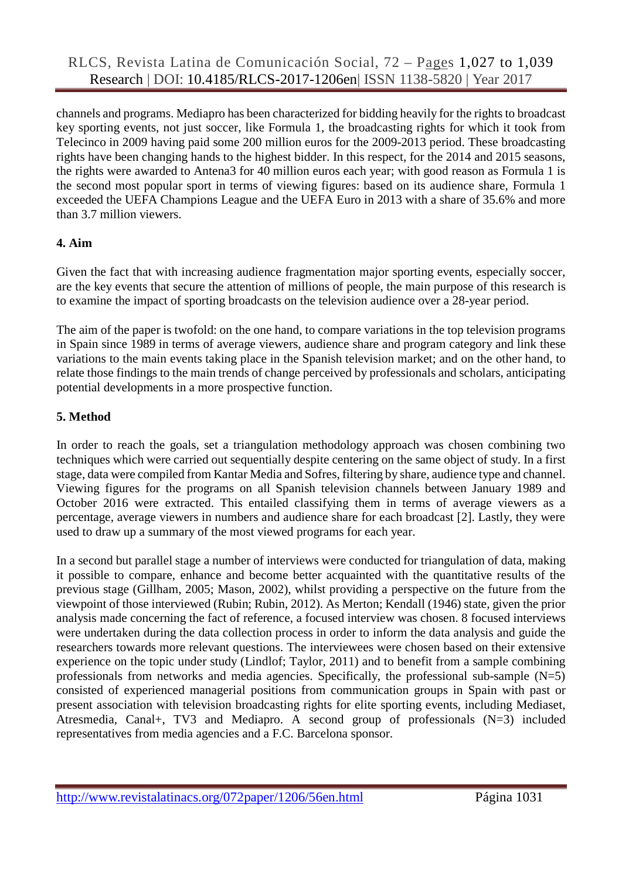channels and programs. Mediapro has been characterized for bidding heavily for the rights to broadcast key sporting events, not just soccer, like Formula 1, the broadcasting rights for which it took from Telecinco in 2009 having paid some 200 million euros for the 2009-2013 period. These broadcasting rights have been changing hands to the highest bidder. In this respect, for the 2014 and 2015 seasons, the rights were awarded to Antena3 for 40 million euros each year; with good reason as Formula 1 is the second most popular sport in terms of viewing figures: based on its audience share, Formula 1 exceeded the UEFA Champions League and the UEFA Euro in 2013 with a share of 35.6% and more than 3.7 million viewers.

#### **4. Aim**

Given the fact that with increasing audience fragmentation major sporting events, especially soccer, are the key events that secure the attention of millions of people, the main purpose of this research is to examine the impact of sporting broadcasts on the television audience over a 28-year period.

The aim of the paper is twofold: on the one hand, to compare variations in the top television programs in Spain since 1989 in terms of average viewers, audience share and program category and link these variations to the main events taking place in the Spanish television market; and on the other hand, to relate those findings to the main trends of change perceived by professionals and scholars, anticipating potential developments in a more prospective function.

# **5. Method**

In order to reach the goals, set a triangulation methodology approach was chosen combining two techniques which were carried out sequentially despite centering on the same object of study. In a first stage, data were compiled from Kantar Media and Sofres, filtering by share, audience type and channel. Viewing figures for the programs on all Spanish television channels between January 1989 and October 2016 were extracted. This entailed classifying them in terms of average viewers as a percentage, average viewers in numbers and audience share for each broadcast [2]. Lastly, they were used to draw up a summary of the most viewed programs for each year.

In a second but parallel stage a number of interviews were conducted for triangulation of data, making it possible to compare, enhance and become better acquainted with the quantitative results of the previous stage (Gillham, 2005; Mason, 2002), whilst providing a perspective on the future from the viewpoint of those interviewed (Rubin; Rubin, 2012). As Merton; Kendall (1946) state, given the prior analysis made concerning the fact of reference, a focused interview was chosen. 8 focused interviews were undertaken during the data collection process in order to inform the data analysis and guide the researchers towards more relevant questions. The interviewees were chosen based on their extensive experience on the topic under study (Lindlof; Taylor, 2011) and to benefit from a sample combining professionals from networks and media agencies. Specifically, the professional sub-sample (N=5) consisted of experienced managerial positions from communication groups in Spain with past or present association with television broadcasting rights for elite sporting events, including Mediaset, Atresmedia, Canal+, TV3 and Mediapro. A second group of professionals (N=3) included representatives from media agencies and a F.C. Barcelona sponsor.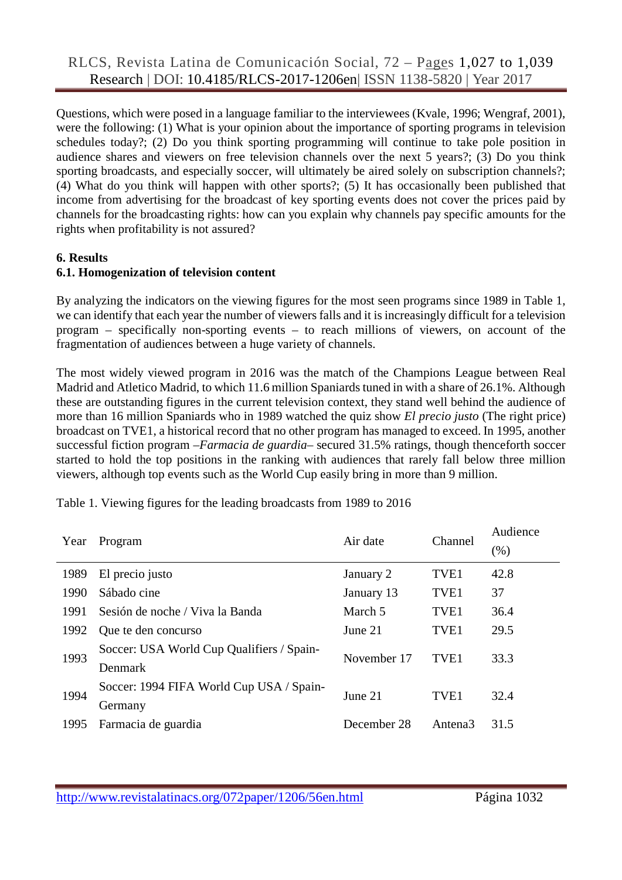Questions, which were posed in a language familiar to the interviewees (Kvale, 1996; Wengraf, 2001), were the following: (1) What is your opinion about the importance of sporting programs in television schedules today?; (2) Do you think sporting programming will continue to take pole position in audience shares and viewers on free television channels over the next 5 years?; (3) Do you think sporting broadcasts, and especially soccer, will ultimately be aired solely on subscription channels?; (4) What do you think will happen with other sports?; (5) It has occasionally been published that income from advertising for the broadcast of key sporting events does not cover the prices paid by channels for the broadcasting rights: how can you explain why channels pay specific amounts for the rights when profitability is not assured?

#### **6. Results**

#### **6.1. Homogenization of television content**

By analyzing the indicators on the viewing figures for the most seen programs since 1989 in Table 1, we can identify that each year the number of viewers falls and it is increasingly difficult for a television program – specifically non-sporting events – to reach millions of viewers, on account of the fragmentation of audiences between a huge variety of channels.

The most widely viewed program in 2016 was the match of the Champions League between Real Madrid and Atletico Madrid, to which 11.6 million Spaniards tuned in with a share of 26.1%. Although these are outstanding figures in the current television context, they stand well behind the audience of more than 16 million Spaniards who in 1989 watched the quiz show *El precio justo* (The right price) broadcast on TVE1, a historical record that no other program has managed to exceed. In 1995, another successful fiction program –*Farmacia de guardia*– secured 31.5% ratings, though thenceforth soccer started to hold the top positions in the ranking with audiences that rarely fall below three million viewers, although top events such as the World Cup easily bring in more than 9 million.

| Year | Program                                   | Air date    | Channel             | Audience<br>(%) |
|------|-------------------------------------------|-------------|---------------------|-----------------|
| 1989 | El precio justo                           | January 2   | TVE1                | 42.8            |
| 1990 | Sábado cine                               | January 13  | TVE <sub>1</sub>    | 37              |
| 1991 | Sesión de noche / Viva la Banda           | March 5     | TVE <sub>1</sub>    | 36.4            |
| 1992 | Que te den concurso                       | June 21     | TVE <sub>1</sub>    | 29.5            |
| 1993 | Soccer: USA World Cup Qualifiers / Spain- | November 17 | TVE <sub>1</sub>    | 33.3            |
|      | Denmark                                   |             |                     |                 |
| 1994 | Soccer: 1994 FIFA World Cup USA / Spain-  | June 21     | TVE <sub>1</sub>    | 32.4            |
|      | Germany                                   |             |                     |                 |
| 1995 | Farmacia de guardia                       | December 28 | Antena <sub>3</sub> | 31.5            |
|      |                                           |             |                     |                 |

Table 1. Viewing figures for the leading broadcasts from 1989 to 2016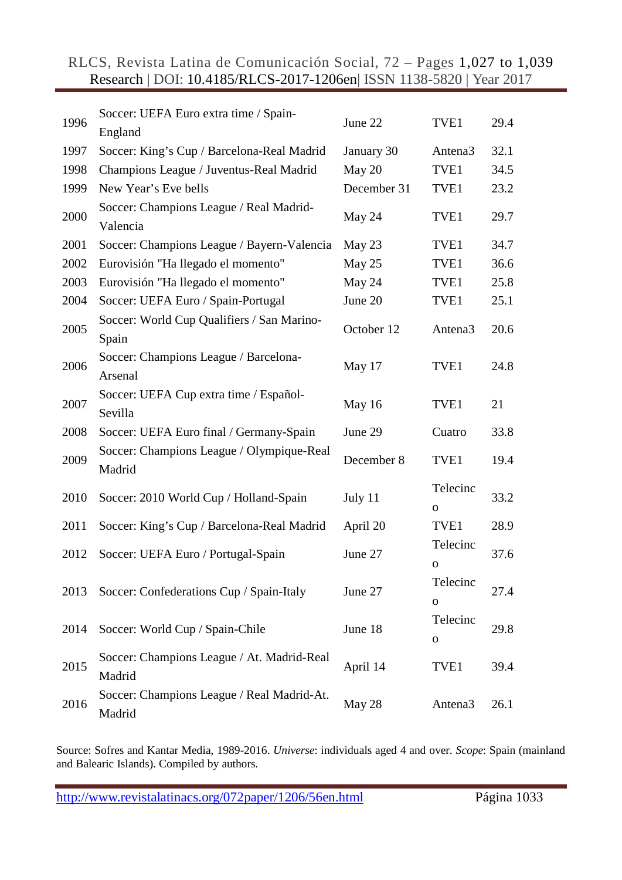RLCS, Revista Latina de Comunicación Social, 72 – Pages 1,027 to 1,039 Research | DOI: 10.4185/RLCS-2017-1206en| ISSN 1138-5820 | Year 2017

| 1996 | Soccer: UEFA Euro extra time / Spain-<br>England     | June 22     | TVE1                    | 29.4 |
|------|------------------------------------------------------|-------------|-------------------------|------|
| 1997 | Soccer: King's Cup / Barcelona-Real Madrid           | January 30  | Antena <sub>3</sub>     | 32.1 |
| 1998 | Champions League / Juventus-Real Madrid              | May 20      | TVE1                    | 34.5 |
| 1999 | New Year's Eve bells                                 | December 31 | TVE1                    | 23.2 |
| 2000 | Soccer: Champions League / Real Madrid-<br>Valencia  | May 24      | TVE1                    | 29.7 |
| 2001 | Soccer: Champions League / Bayern-Valencia           | May 23      | TVE1                    | 34.7 |
| 2002 | Eurovisión "Ha llegado el momento"                   | May 25      | TVE1                    | 36.6 |
| 2003 | Eurovisión "Ha llegado el momento"                   | May 24      | TVE1                    | 25.8 |
| 2004 | Soccer: UEFA Euro / Spain-Portugal                   | June 20     | TVE1                    | 25.1 |
| 2005 | Soccer: World Cup Qualifiers / San Marino-<br>Spain  | October 12  | Antena <sub>3</sub>     | 20.6 |
| 2006 | Soccer: Champions League / Barcelona-<br>Arsenal     | May 17      | TVE1                    | 24.8 |
| 2007 | Soccer: UEFA Cup extra time / Español-<br>Sevilla    | May 16      | TVE1                    | 21   |
| 2008 | Soccer: UEFA Euro final / Germany-Spain              | June 29     | Cuatro                  | 33.8 |
| 2009 | Soccer: Champions League / Olympique-Real<br>Madrid  | December 8  | TVE1                    | 19.4 |
| 2010 | Soccer: 2010 World Cup / Holland-Spain               | July 11     | Telecinc<br>0           | 33.2 |
| 2011 | Soccer: King's Cup / Barcelona-Real Madrid           | April 20    | TVE1                    | 28.9 |
| 2012 | Soccer: UEFA Euro / Portugal-Spain                   | June 27     | Telecinc<br>$\mathbf 0$ | 37.6 |
| 2013 | Soccer: Confederations Cup / Spain-Italy             | June 27     | Telecinc<br>0           | 27.4 |
| 2014 | Soccer: World Cup / Spain-Chile                      | June 18     | Telecinc<br>$\mathbf O$ | 29.8 |
| 2015 | Soccer: Champions League / At. Madrid-Real<br>Madrid | April 14    | TVE1                    | 39.4 |
| 2016 | Soccer: Champions League / Real Madrid-At.<br>Madrid | May 28      | Antena <sub>3</sub>     | 26.1 |

Source: Sofres and Kantar Media, 1989-2016. *Universe*: individuals aged 4 and over. *Scope*: Spain (mainland and Balearic Islands). Compiled by authors.

<http://www.revistalatinacs.org/072paper/1206/56en.html> Página 1033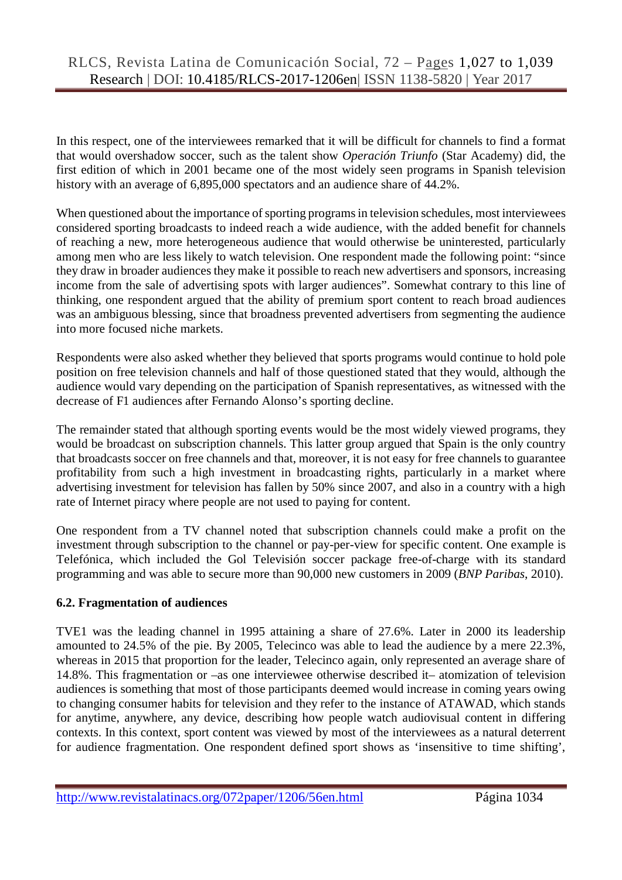In this respect, one of the interviewees remarked that it will be difficult for channels to find a format that would overshadow soccer, such as the talent show *Operación Triunfo* (Star Academy) did, the first edition of which in 2001 became one of the most widely seen programs in Spanish television history with an average of 6,895,000 spectators and an audience share of 44.2%.

When questioned about the importance of sporting programs in television schedules, most interviewees considered sporting broadcasts to indeed reach a wide audience, with the added benefit for channels of reaching a new, more heterogeneous audience that would otherwise be uninterested, particularly among men who are less likely to watch television. One respondent made the following point: "since they draw in broader audiences they make it possible to reach new advertisers and sponsors, increasing income from the sale of advertising spots with larger audiences". Somewhat contrary to this line of thinking, one respondent argued that the ability of premium sport content to reach broad audiences was an ambiguous blessing, since that broadness prevented advertisers from segmenting the audience into more focused niche markets.

Respondents were also asked whether they believed that sports programs would continue to hold pole position on free television channels and half of those questioned stated that they would, although the audience would vary depending on the participation of Spanish representatives, as witnessed with the decrease of F1 audiences after Fernando Alonso's sporting decline.

The remainder stated that although sporting events would be the most widely viewed programs, they would be broadcast on subscription channels. This latter group argued that Spain is the only country that broadcasts soccer on free channels and that, moreover, it is not easy for free channels to guarantee profitability from such a high investment in broadcasting rights, particularly in a market where advertising investment for television has fallen by 50% since 2007, and also in a country with a high rate of Internet piracy where people are not used to paying for content.

One respondent from a TV channel noted that subscription channels could make a profit on the investment through subscription to the channel or pay-per-view for specific content. One example is Telefónica, which included the Gol Televisión soccer package free-of-charge with its standard programming and was able to secure more than 90,000 new customers in 2009 (*BNP Paribas*, 2010).

#### **6.2. Fragmentation of audiences**

TVE1 was the leading channel in 1995 attaining a share of 27.6%. Later in 2000 its leadership amounted to 24.5% of the pie. By 2005, Telecinco was able to lead the audience by a mere 22.3%, whereas in 2015 that proportion for the leader, Telecinco again, only represented an average share of 14.8%. This fragmentation or –as one interviewee otherwise described it– atomization of television audiences is something that most of those participants deemed would increase in coming years owing to changing consumer habits for television and they refer to the instance of ATAWAD, which stands for anytime, anywhere, any device, describing how people watch audiovisual content in differing contexts. In this context, sport content was viewed by most of the interviewees as a natural deterrent for audience fragmentation. One respondent defined sport shows as 'insensitive to time shifting',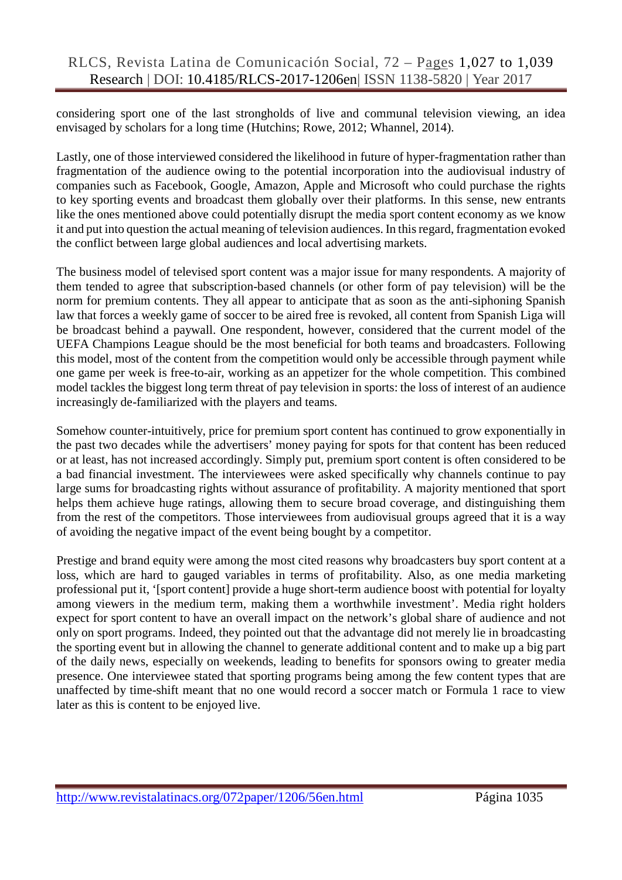considering sport one of the last strongholds of live and communal television viewing, an idea envisaged by scholars for a long time (Hutchins; Rowe, 2012; Whannel, 2014).

Lastly, one of those interviewed considered the likelihood in future of hyper-fragmentation rather than fragmentation of the audience owing to the potential incorporation into the audiovisual industry of companies such as Facebook, Google, Amazon, Apple and Microsoft who could purchase the rights to key sporting events and broadcast them globally over their platforms. In this sense, new entrants like the ones mentioned above could potentially disrupt the media sport content economy as we know it and put into question the actual meaning of television audiences. In this regard, fragmentation evoked the conflict between large global audiences and local advertising markets.

The business model of televised sport content was a major issue for many respondents. A majority of them tended to agree that subscription-based channels (or other form of pay television) will be the norm for premium contents. They all appear to anticipate that as soon as the anti-siphoning Spanish law that forces a weekly game of soccer to be aired free is revoked, all content from Spanish Liga will be broadcast behind a paywall. One respondent, however, considered that the current model of the UEFA Champions League should be the most beneficial for both teams and broadcasters. Following this model, most of the content from the competition would only be accessible through payment while one game per week is free-to-air, working as an appetizer for the whole competition. This combined model tackles the biggest long term threat of pay television in sports: the loss of interest of an audience increasingly de-familiarized with the players and teams.

Somehow counter-intuitively, price for premium sport content has continued to grow exponentially in the past two decades while the advertisers' money paying for spots for that content has been reduced or at least, has not increased accordingly. Simply put, premium sport content is often considered to be a bad financial investment. The interviewees were asked specifically why channels continue to pay large sums for broadcasting rights without assurance of profitability. A majority mentioned that sport helps them achieve huge ratings, allowing them to secure broad coverage, and distinguishing them from the rest of the competitors. Those interviewees from audiovisual groups agreed that it is a way of avoiding the negative impact of the event being bought by a competitor.

Prestige and brand equity were among the most cited reasons why broadcasters buy sport content at a loss, which are hard to gauged variables in terms of profitability. Also, as one media marketing professional put it, '[sport content] provide a huge short-term audience boost with potential for loyalty among viewers in the medium term, making them a worthwhile investment'. Media right holders expect for sport content to have an overall impact on the network's global share of audience and not only on sport programs. Indeed, they pointed out that the advantage did not merely lie in broadcasting the sporting event but in allowing the channel to generate additional content and to make up a big part of the daily news, especially on weekends, leading to benefits for sponsors owing to greater media presence. One interviewee stated that sporting programs being among the few content types that are unaffected by time-shift meant that no one would record a soccer match or Formula 1 race to view later as this is content to be enjoyed live.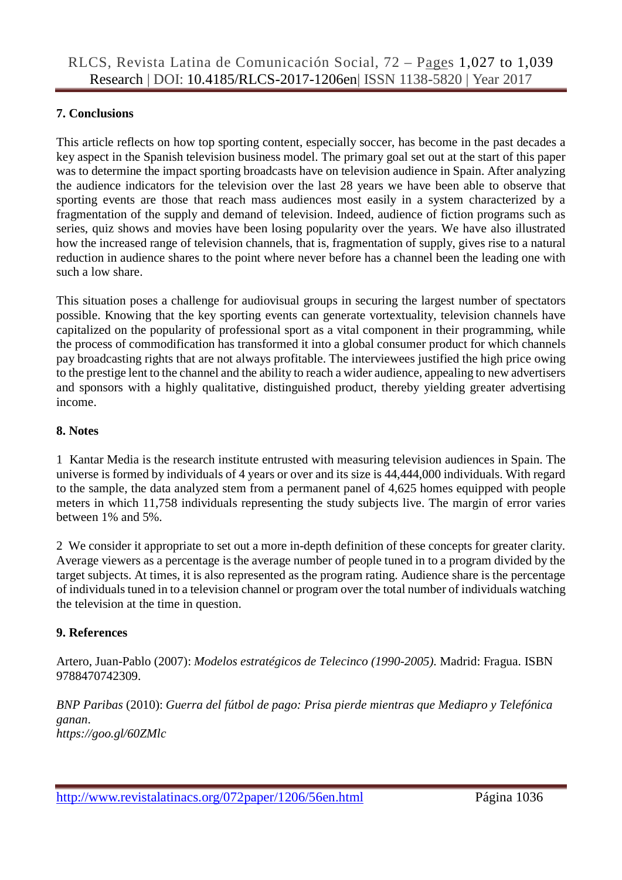#### **7. Conclusions**

This article reflects on how top sporting content, especially soccer, has become in the past decades a key aspect in the Spanish television business model. The primary goal set out at the start of this paper was to determine the impact sporting broadcasts have on television audience in Spain. After analyzing the audience indicators for the television over the last 28 years we have been able to observe that sporting events are those that reach mass audiences most easily in a system characterized by a fragmentation of the supply and demand of television. Indeed, audience of fiction programs such as series, quiz shows and movies have been losing popularity over the years. We have also illustrated how the increased range of television channels, that is, fragmentation of supply, gives rise to a natural reduction in audience shares to the point where never before has a channel been the leading one with such a low share.

This situation poses a challenge for audiovisual groups in securing the largest number of spectators possible. Knowing that the key sporting events can generate vortextuality, television channels have capitalized on the popularity of professional sport as a vital component in their programming, while the process of commodification has transformed it into a global consumer product for which channels pay broadcasting rights that are not always profitable. The interviewees justified the high price owing to the prestige lent to the channel and the ability to reach a wider audience, appealing to new advertisers and sponsors with a highly qualitative, distinguished product, thereby yielding greater advertising income.

#### **8. Notes**

1 Kantar Media is the research institute entrusted with measuring television audiences in Spain. The universe is formed by individuals of 4 years or over and its size is 44,444,000 individuals. With regard to the sample, the data analyzed stem from a permanent panel of 4,625 homes equipped with people meters in which 11,758 individuals representing the study subjects live. The margin of error varies between 1% and 5%.

2 We consider it appropriate to set out a more in-depth definition of these concepts for greater clarity. Average viewers as a percentage is the average number of people tuned in to a program divided by the target subjects. At times, it is also represented as the program rating. Audience share is the percentage of individuals tuned in to a television channel or program over the total number of individuals watching the television at the time in question.

#### **9. References**

Artero, Juan-Pablo (2007): *Modelos estratégicos de Telecinco (1990-2005).* Madrid: Fragua. ISBN 9788470742309.

*BNP Paribas* (2010): *Guerra del fútbol de pago: Prisa pierde mientras que Mediapro y Telefónica ganan*. *https://goo.gl/60ZMlc*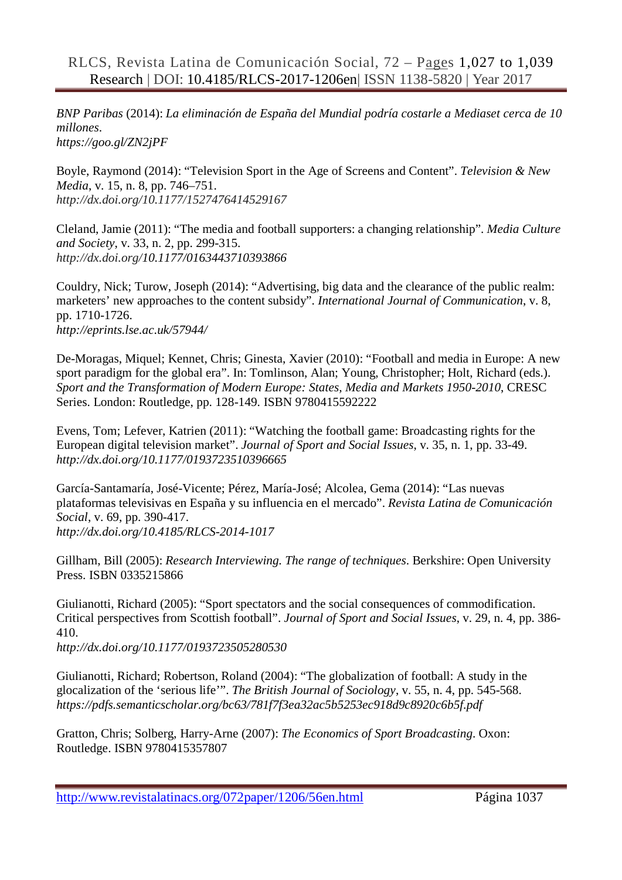*BNP Paribas* (2014): *La eliminación de España del Mundial podría costarle a Mediaset cerca de 10 millones*.

*https://goo.gl/ZN2jPF*

Boyle, Raymond (2014): "Television Sport in the Age of Screens and Content". *Television & New Media*, v. 15, n. 8, pp. 746–751. *http://dx.doi.org/10.1177/1527476414529167* 

Cleland, Jamie (2011): "The media and football supporters: a changing relationship". *Media Culture and Society*, v. 33, n. 2, pp. 299-315. *http://dx.doi.org/10.1177/0163443710393866*

Couldry, Nick; Turow, Joseph (2014): "Advertising, big data and the clearance of the public realm: marketers' new approaches to the content subsidy". *International Journal of Communication*, v. 8, pp. 1710-1726. *http://eprints.lse.ac.uk/57944/*

De-Moragas, Miquel; Kennet, Chris; Ginesta, Xavier (2010): "Football and media in Europe: A new sport paradigm for the global era". In: Tomlinson, Alan; Young, Christopher; Holt, Richard (eds.). *Sport and the Transformation of Modern Europe: States, Media and Markets 1950-2010*, CRESC Series. London: Routledge, pp. 128-149. ISBN 9780415592222

Evens, Tom; Lefever, Katrien (2011): "Watching the football game: Broadcasting rights for the European digital television market". *Journal of Sport and Social Issues*, v. 35, n. 1, pp. 33-49. *http://dx.doi.org/10.1177/0193723510396665*

García-Santamaría, José-Vicente; Pérez, María-José; Alcolea, Gema (2014): "Las nuevas plataformas televisivas en España y su influencia en el mercado". *Revista Latina de Comunicación Social*, v. 69, pp. 390-417. *http://dx.doi.org[/10.4185/RLCS-2014-1017](http://dx.doi.org/10.4185/RLCS-2014-1017)*

Gillham, Bill (2005): *Research Interviewing. The range of techniques*. Berkshire: Open University Press. ISBN 0335215866

Giulianotti, Richard (2005): "Sport spectators and the social consequences of commodification. Critical perspectives from Scottish football". *Journal of Sport and Social Issues*, v. 29, n. 4, pp. 386- 410.

*http://dx.doi.org/10.1177/0193723505280530*

Giulianotti, Richard; Robertson, Roland (2004): "The globalization of football: A study in the glocalization of the 'serious life'". *The British Journal of Sociology*, v. 55, n. 4, pp. 545-568. *https://pdfs.semanticscholar.org/bc63/781f7f3ea32ac5b5253ec918d9c8920c6b5f.pdf*

Gratton, Chris; Solberg, Harry-Arne (2007): *The Economics of Sport Broadcasting*. Oxon: Routledge. ISBN 9780415357807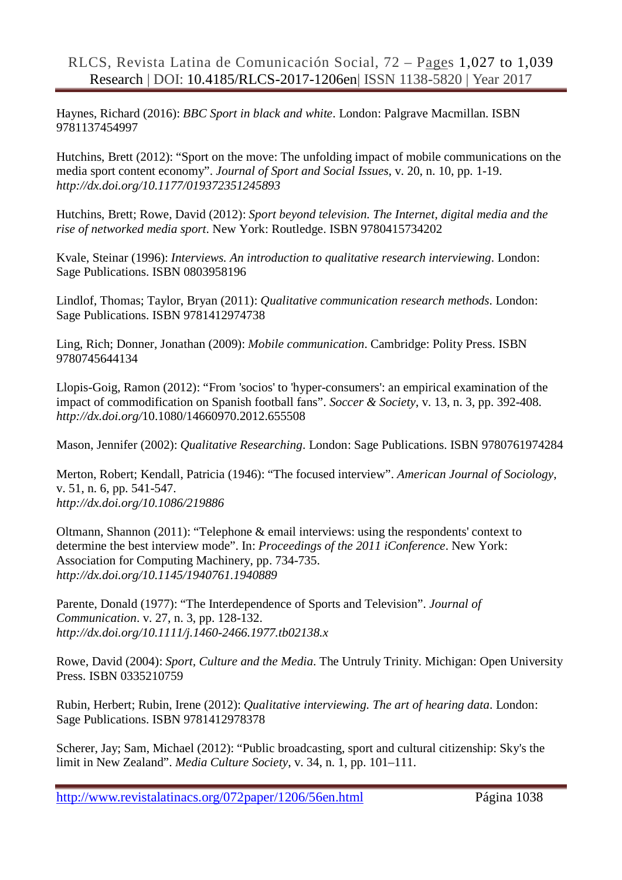Haynes, Richard (2016): *BBC Sport in black and white*. London: Palgrave Macmillan. ISBN 9781137454997

Hutchins, Brett (2012): "Sport on the move: The unfolding impact of mobile communications on the media sport content economy". *Journal of Sport and Social Issues*, v. 20, n. 10, pp. 1-19. *http://dx.doi.org/10.1177/019372351245893*

Hutchins, Brett; Rowe, David (2012): *Sport beyond television. The Internet, digital media and the rise of networked media sport*. New York: Routledge. ISBN 9780415734202

Kvale, Steinar (1996): *Interviews. An introduction to qualitative research interviewing*. London: Sage Publications. ISBN 0803958196

Lindlof, Thomas; Taylor, Bryan (2011): *Qualitative communication research methods*. London: Sage Publications. ISBN 9781412974738

Ling, Rich; Donner, Jonathan (2009): *Mobile communication*. Cambridge: Polity Press. ISBN 9780745644134

Llopis-Goig, Ramon (2012): "From 'socios' to 'hyper-consumers': an empirical examination of the impact of commodification on Spanish football fans". *Soccer & Society*, v. 13, n. 3, pp. 392-408. *http://dx.doi.org/*10.1080/14660970.2012.655508

Mason, Jennifer (2002): *Qualitative Researching*. London: Sage Publications. ISBN 9780761974284

Merton, Robert; Kendall, Patricia (1946): "The focused interview". *American Journal of Sociology*, v. 51, n. 6, pp. 541-547. *http://dx.doi.org/10.1086/219886*

Oltmann, Shannon (2011): "Telephone & email interviews: using the respondents' context to determine the best interview mode". In: *Proceedings of the 2011 iConference*. New York: Association for Computing Machinery, pp. 734-735. *http://dx.doi.org/10.1145/1940761.1940889*

Parente, Donald (1977): "The Interdependence of Sports and Television". *Journal of Communication*. v. 27, n. 3, pp. 128-132. *http://dx.doi.org/10.1111/j.1460-2466.1977.tb02138.x*

Rowe, David (2004): *Sport, Culture and the Media*. The Untruly Trinity. Michigan: Open University Press. ISBN 0335210759

Rubin, Herbert; Rubin, Irene (2012): *Qualitative interviewing. The art of hearing data*. London: Sage Publications. ISBN 9781412978378

Scherer, Jay; Sam, Michael (2012): "Public broadcasting, sport and cultural citizenship: Sky's the limit in New Zealand". *Media Culture Society*, v. 34, n. 1, pp. 101–111.